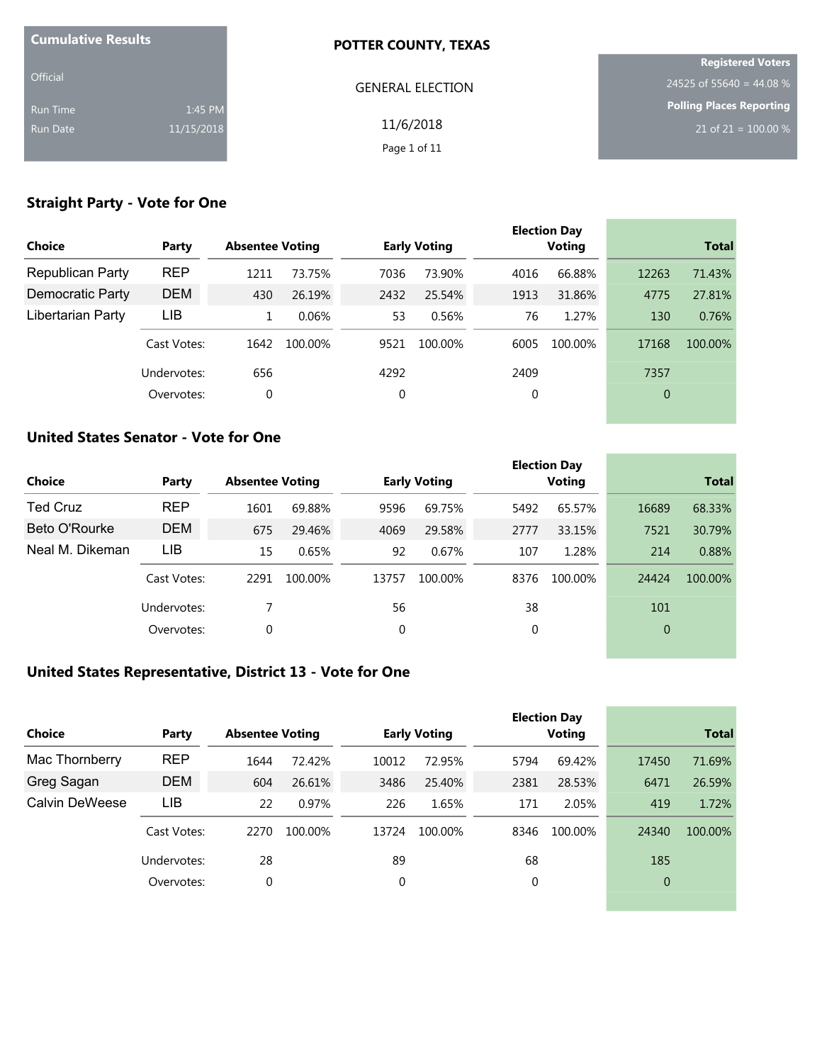| <b>Cumulative Results</b> |            | <b>POTTER COUNTY, TEXAS</b> |                                 |
|---------------------------|------------|-----------------------------|---------------------------------|
|                           |            |                             | <b>Registered Voters</b>        |
| <b>Official</b>           |            | <b>GENERAL ELECTION</b>     | 24525 of 55640 = 44.08 %        |
| Run Time                  | 1:45 PM    |                             | <b>Polling Places Reporting</b> |
| Run Date                  | 11/15/2018 | 11/6/2018                   | 21 of 21 = $100.00\%$           |
|                           |            | Page 1 of 11                |                                 |

# **Straight Party - Vote for One**

| <b>Choice</b>           | Party       | <b>Absentee Voting</b> |         |      | <b>Early Voting</b> |      | <b>Election Day</b><br><b>Voting</b> |       | <b>Total</b> |
|-------------------------|-------------|------------------------|---------|------|---------------------|------|--------------------------------------|-------|--------------|
| <b>Republican Party</b> | <b>REP</b>  | 1211                   | 73.75%  | 7036 | 73.90%              | 4016 | 66.88%                               | 12263 | 71.43%       |
| Democratic Party        | <b>DEM</b>  | 430                    | 26.19%  | 2432 | 25.54%              | 1913 | 31.86%                               | 4775  | 27.81%       |
| Libertarian Party       | LIB         |                        | 0.06%   | 53   | 0.56%               | 76   | 1.27%                                | 130   | 0.76%        |
|                         | Cast Votes: | 1642                   | 100.00% | 9521 | 100.00%             | 6005 | 100.00%                              | 17168 | 100.00%      |
|                         | Undervotes: | 656                    |         | 4292 |                     | 2409 |                                      | 7357  |              |
|                         | Overvotes:  | 0                      |         | 0    |                     | 0    |                                      | 0     |              |
|                         |             |                        |         |      |                     |      |                                      |       |              |

## **United States Senator - Vote for One**

|             |       |         |                        |         |                     |         |                               | <b>Total</b> |
|-------------|-------|---------|------------------------|---------|---------------------|---------|-------------------------------|--------------|
| <b>REP</b>  | 1601  | 69.88%  | 9596                   | 69.75%  | 5492                | 65.57%  | 16689                         | 68.33%       |
| <b>DEM</b>  | 675   | 29.46%  | 4069                   | 29.58%  | 2777                | 33.15%  | 7521                          | 30.79%       |
| LIB         | 15    | 0.65%   | 92                     | 0.67%   | 107                 | 1.28%   | 214                           | 0.88%        |
| Cast Votes: | 2291  | 100.00% | 13757                  | 100.00% | 8376                | 100.00% | 24424                         | 100.00%      |
| Undervotes: |       |         | 56                     |         | 38                  |         | 101                           |              |
| Overvotes:  | 0     |         | 0                      |         | 0                   |         | $\overline{0}$                |              |
|             | Party |         | <b>Absentee Voting</b> |         | <b>Early Voting</b> |         | <b>Election Day</b><br>Voting |              |

# **United States Representative, District 13 - Vote for One**

|                |             |                        |         |       |                     |      | <b>Election Day</b> |                |              |
|----------------|-------------|------------------------|---------|-------|---------------------|------|---------------------|----------------|--------------|
| Choice         | Party       | <b>Absentee Voting</b> |         |       | <b>Early Voting</b> |      | Voting              |                | <b>Total</b> |
| Mac Thornberry | <b>REP</b>  | 1644                   | 72.42%  | 10012 | 72.95%              | 5794 | 69.42%              | 17450          | 71.69%       |
| Greg Sagan     | <b>DEM</b>  | 604                    | 26.61%  | 3486  | 25.40%              | 2381 | 28.53%              | 6471           | 26.59%       |
| Calvin DeWeese | LIB         | 22                     | 0.97%   | 226   | 1.65%               | 171  | 2.05%               | 419            | 1.72%        |
|                | Cast Votes: | 2270                   | 100.00% | 13724 | 100.00%             | 8346 | 100.00%             | 24340          | 100.00%      |
|                | Undervotes: | 28                     |         | 89    |                     | 68   |                     | 185            |              |
|                | Overvotes:  | 0                      |         | 0     |                     | 0    |                     | $\overline{0}$ |              |
|                |             |                        |         |       |                     |      |                     |                |              |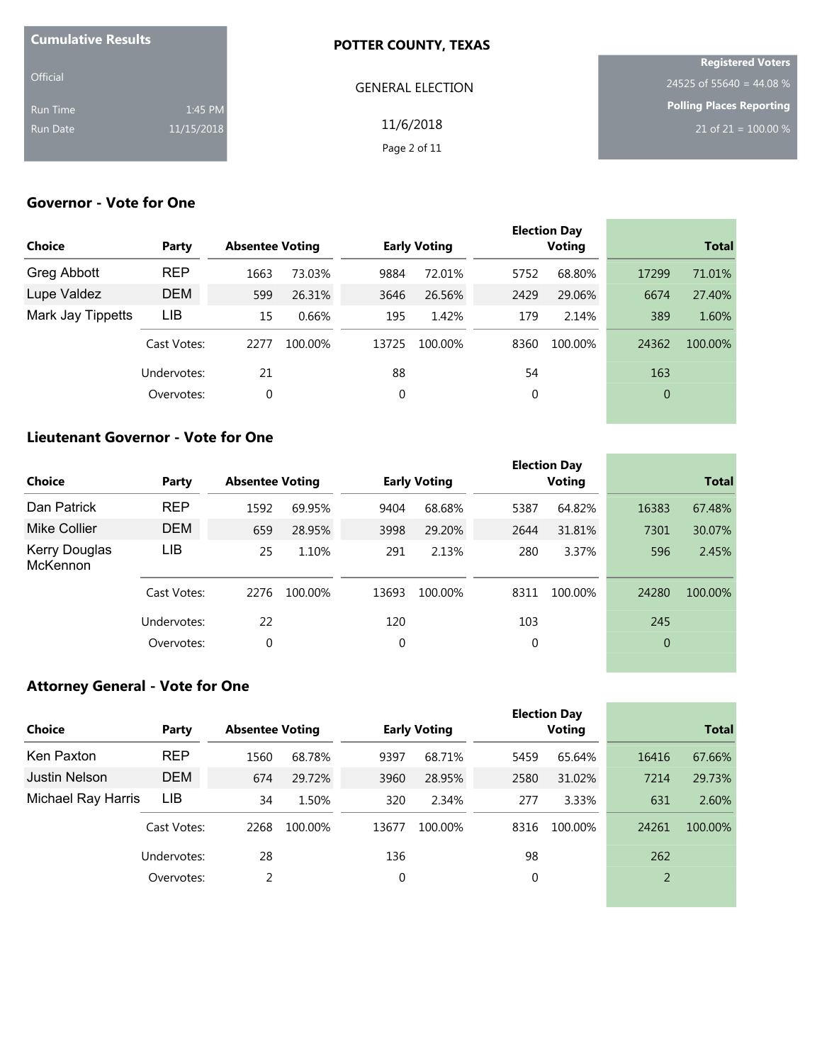| <b>Cumulative Results</b> |            | POTTER COUNTY, TEXAS    |                                  |
|---------------------------|------------|-------------------------|----------------------------------|
|                           |            |                         | <b>Registered Voters</b>         |
| <b>Official</b>           |            | <b>GENERAL ELECTION</b> | 24525 of 55640 = 44.08 %         |
| Run Time                  | 1:45 PM    |                         | Polling Places Reporting         |
| Run Date                  | 11/15/2018 | 11/6/2018               | 21 of 21 = $\overline{100.00\%}$ |
|                           |            | Page 2 of 11            |                                  |

\_\_\_\_\_\_\_

the control of the control of the control of

# **Governor - Vote for One**

| <b>Choice</b>     | Party       | <b>Absentee Voting</b> |         |       | <b>Early Voting</b> |      | <b>Election Day</b><br><b>Voting</b> |       | <b>Total</b> |
|-------------------|-------------|------------------------|---------|-------|---------------------|------|--------------------------------------|-------|--------------|
| Greg Abbott       | <b>REP</b>  | 1663                   | 73.03%  | 9884  | 72.01%              | 5752 | 68.80%                               | 17299 | 71.01%       |
| Lupe Valdez       | <b>DEM</b>  | 599                    | 26.31%  | 3646  | 26.56%              | 2429 | 29.06%                               | 6674  | 27.40%       |
| Mark Jay Tippetts | LIB         | 15                     | 0.66%   | 195   | 1.42%               | 179  | 2.14%                                | 389   | 1.60%        |
|                   | Cast Votes: | 2277                   | 100.00% | 13725 | 100.00%             | 8360 | 100.00%                              | 24362 | 100.00%      |
|                   | Undervotes: | 21                     |         | 88    |                     | 54   |                                      | 163   |              |
|                   | Overvotes:  | 0                      |         | 0     |                     | 0    |                                      | 0     |              |
|                   |             |                        |         |       |                     |      |                                      |       |              |

### **Lieutenant Governor - Vote for One**

| <b>Choice</b>                    | Party       | <b>Absentee Voting</b> |         |       | <b>Early Voting</b> |      | <b>Election Day</b><br><b>Voting</b> |          | <b>Total</b> |
|----------------------------------|-------------|------------------------|---------|-------|---------------------|------|--------------------------------------|----------|--------------|
| Dan Patrick                      | <b>REP</b>  | 1592                   | 69.95%  | 9404  | 68.68%              | 5387 | 64.82%                               | 16383    | 67.48%       |
| Mike Collier                     | <b>DEM</b>  | 659                    | 28.95%  | 3998  | 29.20%              | 2644 | 31.81%                               | 7301     | 30.07%       |
| <b>Kerry Douglas</b><br>McKennon | LIB         | 25                     | 1.10%   | 291   | 2.13%               | 280  | 3.37%                                | 596      | 2.45%        |
|                                  | Cast Votes: | 2276                   | 100.00% | 13693 | 100.00%             | 8311 | 100.00%                              | 24280    | 100.00%      |
|                                  | Undervotes: | 22                     |         | 120   |                     | 103  |                                      | 245      |              |
|                                  | Overvotes:  | 0                      |         | 0     |                     | 0    |                                      | $\theta$ |              |

#### **Attorney General - Vote for One**

| Choice             | Party       | <b>Absentee Voting</b> |         |             | <b>Early Voting</b> |             | <b>Election Day</b><br><b>Voting</b> |       | <b>Total</b> |
|--------------------|-------------|------------------------|---------|-------------|---------------------|-------------|--------------------------------------|-------|--------------|
| Ken Paxton         | <b>REP</b>  | 1560                   | 68.78%  | 9397        | 68.71%              | 5459        | 65.64%                               | 16416 | 67.66%       |
| Justin Nelson      | <b>DEM</b>  | 674                    | 29.72%  | 3960        | 28.95%              | 2580        | 31.02%                               | 7214  | 29.73%       |
| Michael Ray Harris | LIB         | 34                     | 1.50%   | 320         | 2.34%               | 277         | 3.33%                                | 631   | 2.60%        |
|                    | Cast Votes: | 2268                   | 100.00% | 13677       | 100.00%             | 8316        | 100.00%                              | 24261 | 100.00%      |
|                    | Undervotes: | 28                     |         | 136         |                     | 98          |                                      | 262   |              |
|                    | Overvotes:  | 2                      |         | $\mathbf 0$ |                     | $\mathbf 0$ |                                      | 2     |              |
|                    |             |                        |         |             |                     |             |                                      |       |              |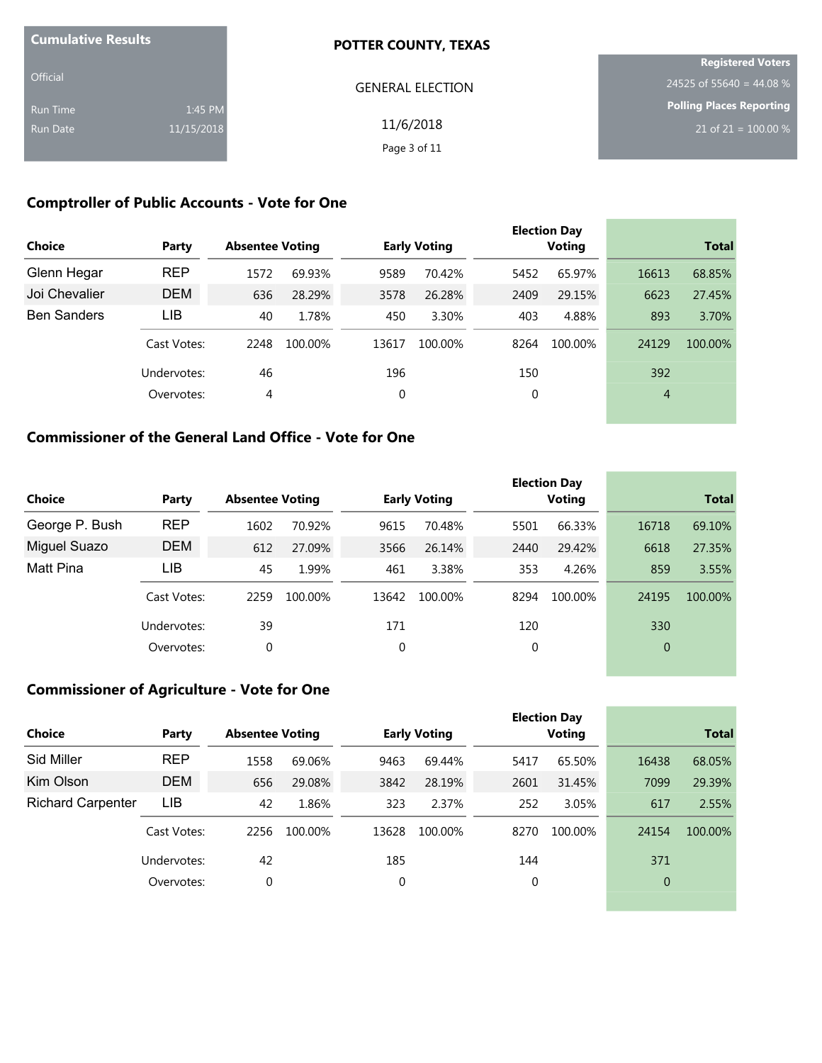| <b>Cumulative Results</b> |            | <b>POTTER COUNTY, TEXAS</b> |                          |
|---------------------------|------------|-----------------------------|--------------------------|
|                           |            |                             | <b>Registered Voters</b> |
| <b>Official</b>           |            | <b>GENERAL ELECTION</b>     | 24525 of 55640 = 44.08 % |
| Run Time                  | 1:45 PM    |                             | Polling Places Reporting |
| Run Date                  | 11/15/2018 | 11/6/2018                   | 21 of 21 = $100.00\%$    |
|                           |            | Page 3 of 11                |                          |

# **Comptroller of Public Accounts - Vote for One**

| <b>Choice</b>      | Party       | <b>Absentee Voting</b> |         |       | <b>Early Voting</b> |      | <b>Election Day</b><br><b>Voting</b> |                | <b>Total</b> |
|--------------------|-------------|------------------------|---------|-------|---------------------|------|--------------------------------------|----------------|--------------|
| Glenn Hegar        | <b>REP</b>  | 1572                   | 69.93%  | 9589  | 70.42%              | 5452 | 65.97%                               | 16613          | 68.85%       |
| Joi Chevalier      | <b>DEM</b>  | 636                    | 28.29%  | 3578  | 26.28%              | 2409 | 29.15%                               | 6623           | 27.45%       |
| <b>Ben Sanders</b> | LIB         | 40                     | 1.78%   | 450   | 3.30%               | 403  | 4.88%                                | 893            | 3.70%        |
|                    | Cast Votes: | 2248                   | 100.00% | 13617 | 100.00%             | 8264 | 100.00%                              | 24129          | 100.00%      |
|                    | Undervotes: | 46                     |         | 196   |                     | 150  |                                      | 392            |              |
|                    | Overvotes:  | 4                      |         | 0     |                     | 0    |                                      | $\overline{4}$ |              |
|                    |             |                        |         |       |                     |      |                                      |                |              |

# **Commissioner of the General Land Office - Vote for One**

|                |             |                        |         |       |                     |      | <b>Election Day</b> |                |              |
|----------------|-------------|------------------------|---------|-------|---------------------|------|---------------------|----------------|--------------|
| <b>Choice</b>  | Party       | <b>Absentee Voting</b> |         |       | <b>Early Voting</b> |      | Voting              |                | <b>Total</b> |
| George P. Bush | <b>REP</b>  | 1602                   | 70.92%  | 9615  | 70.48%              | 5501 | 66.33%              | 16718          | 69.10%       |
| Miguel Suazo   | <b>DEM</b>  | 612                    | 27.09%  | 3566  | 26.14%              | 2440 | 29.42%              | 6618           | 27.35%       |
| Matt Pina      | LIB         | 45                     | 1.99%   | 461   | 3.38%               | 353  | 4.26%               | 859            | 3.55%        |
|                | Cast Votes: | 2259                   | 100.00% | 13642 | 100.00%             | 8294 | 100.00%             | 24195          | 100.00%      |
|                | Undervotes: | 39                     |         | 171   |                     | 120  |                     | 330            |              |
|                | Overvotes:  | 0                      |         | 0     |                     | 0    |                     | $\overline{0}$ |              |

# **Commissioner of Agriculture - Vote for One**

| Choice                   | Party       | <b>Absentee Voting</b> |         |       | <b>Early Voting</b> |      | <b>Election Day</b><br><b>Voting</b> |                | <b>Total</b> |
|--------------------------|-------------|------------------------|---------|-------|---------------------|------|--------------------------------------|----------------|--------------|
| Sid Miller               | <b>REP</b>  | 1558                   | 69.06%  | 9463  | 69.44%              | 5417 | 65.50%                               | 16438          | 68.05%       |
| Kim Olson                | <b>DEM</b>  | 656                    | 29.08%  | 3842  | 28.19%              | 2601 | 31.45%                               | 7099           | 29.39%       |
| <b>Richard Carpenter</b> | LIB         | 42                     | 1.86%   | 323   | 2.37%               | 252  | 3.05%                                | 617            | 2.55%        |
|                          | Cast Votes: | 2256                   | 100.00% | 13628 | 100.00%             | 8270 | 100.00%                              | 24154          | 100.00%      |
|                          | Undervotes: | 42                     |         | 185   |                     | 144  |                                      | 371            |              |
|                          | Overvotes:  | 0                      |         | 0     |                     | 0    |                                      | $\overline{0}$ |              |
|                          |             |                        |         |       |                     |      |                                      |                |              |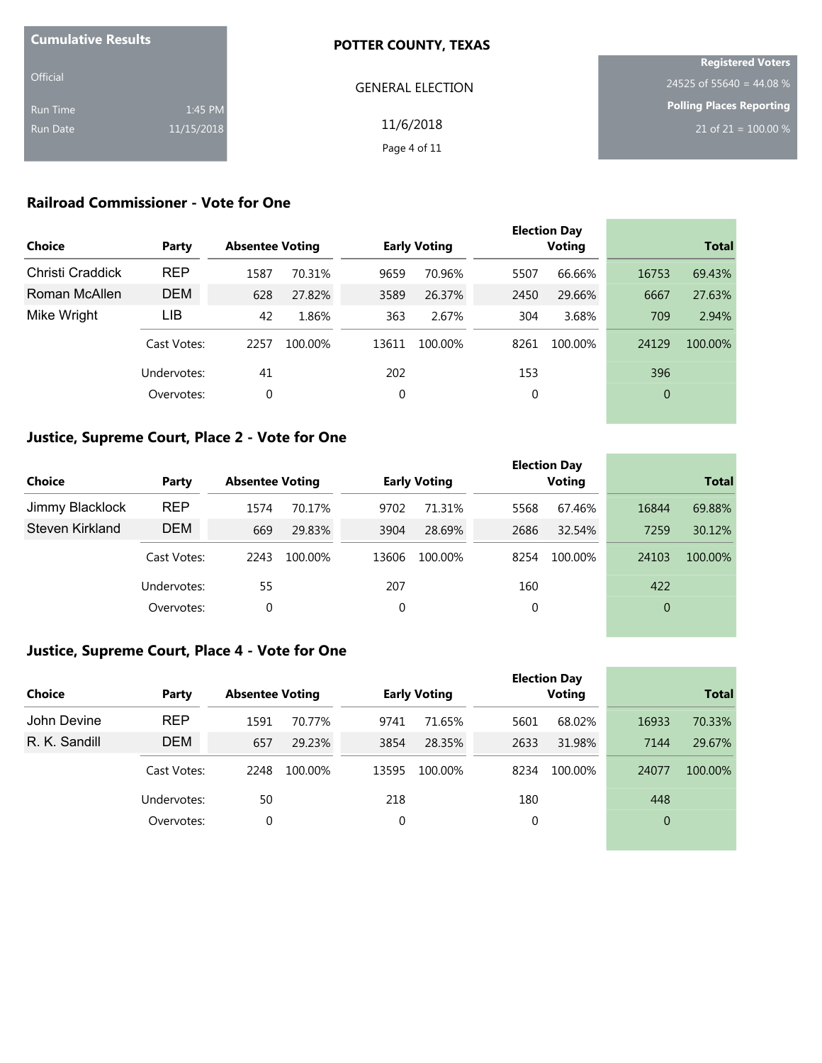| <b>Cumulative Results</b> |            | <b>POTTER COUNTY, TEXAS</b> |                          |
|---------------------------|------------|-----------------------------|--------------------------|
|                           |            |                             | <b>Registered Voters</b> |
| <b>Official</b>           |            | <b>GENERAL ELECTION</b>     | 24525 of 55640 = 44.08 % |
| Run Time                  | 1:45 PM    |                             | Polling Places Reporting |
| Run Date                  | 11/15/2018 | 11/6/2018                   | 21 of 21 = $100.00\%$    |
|                           |            | Page 4 of 11                |                          |

# **Railroad Commissioner - Vote for One**

| <b>Choice</b>    | Party       | <b>Absentee Voting</b> |         |       | <b>Early Voting</b> |      | <b>Election Day</b><br><b>Voting</b> |       | <b>Total</b> |
|------------------|-------------|------------------------|---------|-------|---------------------|------|--------------------------------------|-------|--------------|
| Christi Craddick | <b>REP</b>  | 1587                   | 70.31%  | 9659  | 70.96%              | 5507 | 66.66%                               | 16753 | 69.43%       |
| Roman McAllen    | <b>DEM</b>  | 628                    | 27.82%  | 3589  | 26.37%              | 2450 | 29.66%                               | 6667  | 27.63%       |
| Mike Wright      | LIB         | 42                     | 1.86%   | 363   | 2.67%               | 304  | 3.68%                                | 709   | 2.94%        |
|                  | Cast Votes: | 2257                   | 100.00% | 13611 | 100.00%             | 8261 | 100.00%                              | 24129 | 100.00%      |
|                  | Undervotes: | 41                     |         | 202   |                     | 153  |                                      | 396   |              |
|                  | Overvotes:  | 0                      |         | 0     |                     | 0    |                                      | 0     |              |
|                  |             |                        |         |       |                     |      |                                      |       |              |

## **Justice, Supreme Court, Place 2 - Vote for One**

|                 |             |                        |         |       |                     |      | <b>Election Day</b> |                |              |
|-----------------|-------------|------------------------|---------|-------|---------------------|------|---------------------|----------------|--------------|
| <b>Choice</b>   | Party       | <b>Absentee Voting</b> |         |       | <b>Early Voting</b> |      | <b>Voting</b>       |                | <b>Total</b> |
| Jimmy Blacklock | <b>REP</b>  | 1574                   | 70.17%  | 9702  | 71.31%              | 5568 | 67.46%              | 16844          | 69.88%       |
| Steven Kirkland | <b>DEM</b>  | 669                    | 29.83%  | 3904  | 28.69%              | 2686 | 32.54%              | 7259           | 30.12%       |
|                 | Cast Votes: | 2243                   | 100.00% | 13606 | 100.00%             | 8254 | 100.00%             | 24103          | 100.00%      |
|                 | Undervotes: | 55                     |         | 207   |                     | 160  |                     | 422            |              |
|                 | Overvotes:  | 0                      |         | 0     |                     | 0    |                     | $\overline{0}$ |              |
|                 |             |                        |         |       |                     |      |                     |                |              |

and the control of the control of the

#### **Justice, Supreme Court, Place 4 - Vote for One**

|               |             |                        |         |       |                     |      | <b>Election Day</b> |                |              |
|---------------|-------------|------------------------|---------|-------|---------------------|------|---------------------|----------------|--------------|
| <b>Choice</b> | Party       | <b>Absentee Voting</b> |         |       | <b>Early Voting</b> |      | Voting              |                | <b>Total</b> |
| John Devine   | <b>REP</b>  | 1591                   | 70.77%  | 9741  | 71.65%              | 5601 | 68.02%              | 16933          | 70.33%       |
| R. K. Sandill | <b>DEM</b>  | 657                    | 29.23%  | 3854  | 28.35%              | 2633 | 31.98%              | 7144           | 29.67%       |
|               | Cast Votes: | 2248                   | 100.00% | 13595 | 100.00%             | 8234 | 100.00%             | 24077          | 100.00%      |
|               | Undervotes: | 50                     |         | 218   |                     | 180  |                     | 448            |              |
|               | Overvotes:  | 0                      |         | 0     |                     | 0    |                     | $\overline{0}$ |              |
|               |             |                        |         |       |                     |      |                     |                |              |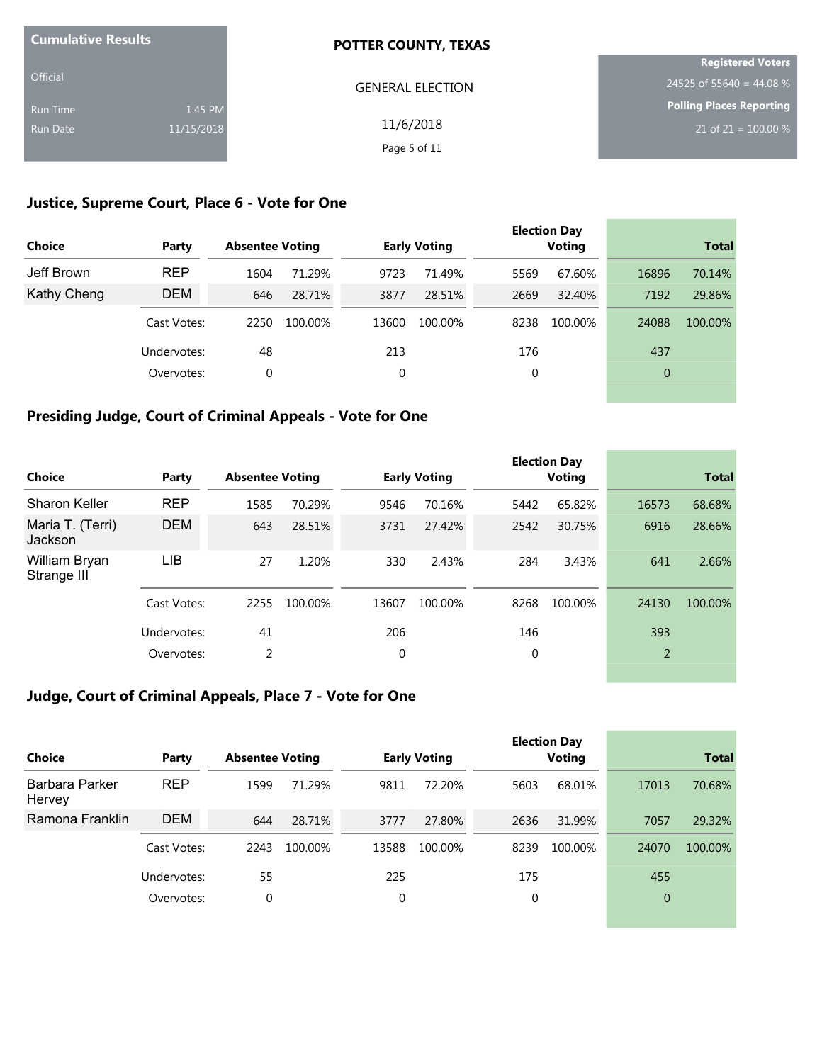| <b>Cumulative Results</b> |            | <b>POTTER COUNTY, TEXAS</b> |                          |
|---------------------------|------------|-----------------------------|--------------------------|
|                           |            |                             | <b>Registered Voters</b> |
| <b>Official</b>           |            | <b>GENERAL ELECTION</b>     | 24525 of 55640 = 44.08 % |
| <b>Run Time</b>           | 1:45 PM    |                             | Polling Places Reporting |
| Run Date                  | 11/15/2018 | 11/6/2018                   | 21 of 21 = $100.00\%$    |
|                           |            | Page 5 of 11                |                          |

# **Justice, Supreme Court, Place 6 - Vote for One**

| <b>Choice</b> | Party       | <b>Absentee Voting</b> |         |       | <b>Early Voting</b> |      | <b>Election Day</b><br><b>Voting</b> |          | <b>Total</b> |
|---------------|-------------|------------------------|---------|-------|---------------------|------|--------------------------------------|----------|--------------|
| Jeff Brown    | <b>REP</b>  | 1604                   | 71.29%  | 9723  | 71.49%              | 5569 | 67.60%                               | 16896    | 70.14%       |
| Kathy Cheng   | <b>DEM</b>  | 646                    | 28.71%  | 3877  | 28.51%              | 2669 | 32.40%                               | 7192     | 29.86%       |
|               | Cast Votes: | 2250                   | 100.00% | 13600 | 100.00%             | 8238 | 100.00%                              | 24088    | 100.00%      |
|               | Undervotes: | 48                     |         | 213   |                     | 176  |                                      | 437      |              |
|               | Overvotes:  | 0                      |         | 0     |                     | 0    |                                      | $\theta$ |              |
|               |             |                        |         |       |                     |      |                                      |          |              |

# **Presiding Judge, Court of Criminal Appeals - Vote for One**

| <b>Choice</b>                | Party       | <b>Absentee Voting</b> |         |       | <b>Early Voting</b> |      | <b>Election Day</b><br>Voting |       | <b>Total</b> |
|------------------------------|-------------|------------------------|---------|-------|---------------------|------|-------------------------------|-------|--------------|
| <b>Sharon Keller</b>         | <b>REP</b>  | 1585                   | 70.29%  | 9546  | 70.16%              | 5442 | 65.82%                        | 16573 | 68.68%       |
| Maria T. (Terri)<br>Jackson  | <b>DEM</b>  | 643                    | 28.51%  | 3731  | 27.42%              | 2542 | 30.75%                        | 6916  | 28.66%       |
| William Bryan<br>Strange III | LIB         | 27                     | 1.20%   | 330   | 2.43%               | 284  | 3.43%                         | 641   | 2.66%        |
|                              | Cast Votes: | 2255                   | 100.00% | 13607 | 100.00%             | 8268 | 100.00%                       | 24130 | 100.00%      |
|                              | Undervotes: | 41                     |         | 206   |                     | 146  |                               | 393   |              |
|                              | Overvotes:  | 2                      |         | 0     |                     | 0    |                               | 2     |              |

# **Judge, Court of Criminal Appeals, Place 7 - Vote for One**

| <b>Choice</b>            | Party       | <b>Absentee Voting</b> |         |       | <b>Early Voting</b> |          | <b>Election Day</b><br><b>Voting</b> |                | <b>Total</b> |
|--------------------------|-------------|------------------------|---------|-------|---------------------|----------|--------------------------------------|----------------|--------------|
| Barbara Parker<br>Hervey | <b>REP</b>  | 1599                   | 71.29%  | 9811  | 72.20%              | 5603     | 68.01%                               | 17013          | 70.68%       |
| Ramona Franklin          | <b>DEM</b>  | 644                    | 28.71%  | 3777  | 27.80%              | 2636     | 31.99%                               | 7057           | 29.32%       |
|                          | Cast Votes: | 2243                   | 100.00% | 13588 | 100.00%             | 8239     | 100.00%                              | 24070          | 100.00%      |
|                          | Undervotes: | 55                     |         | 225   |                     | 175      |                                      | 455            |              |
|                          | Overvotes:  | 0                      |         | 0     |                     | $\Omega$ |                                      | $\overline{0}$ |              |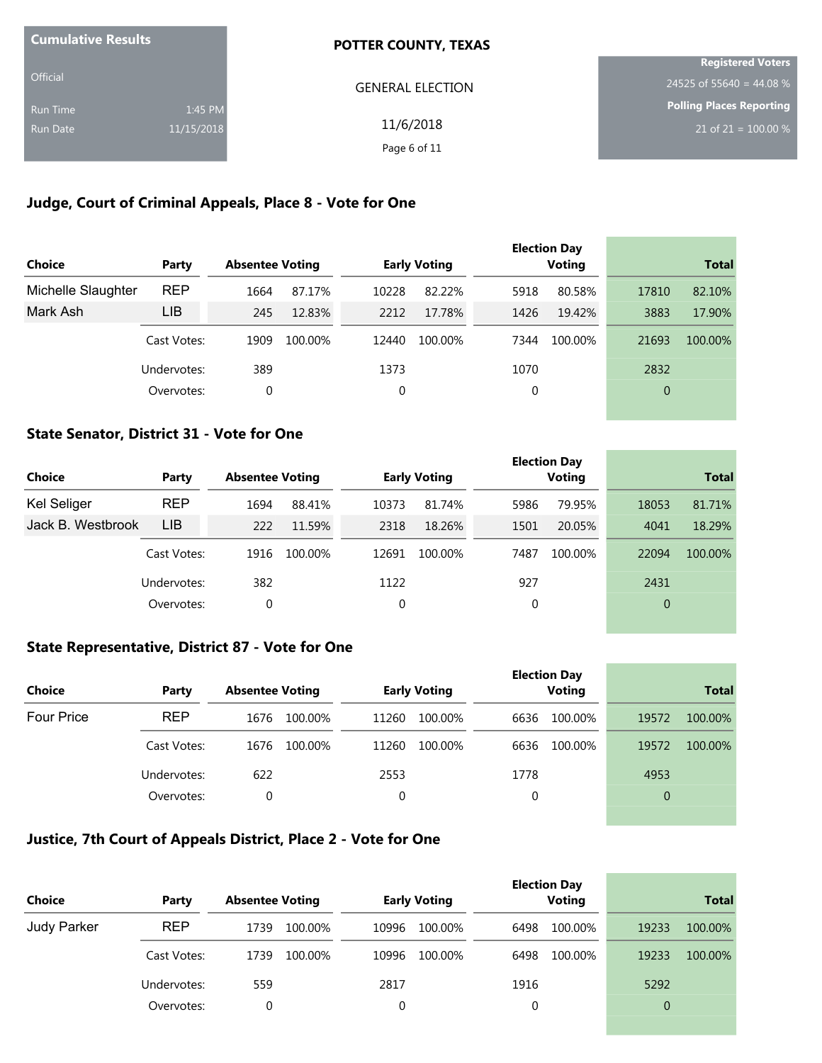| <b>Cumulative Results</b> |            | <b>POTTER COUNTY, TEXAS</b> |                          |
|---------------------------|------------|-----------------------------|--------------------------|
|                           |            |                             | <b>Registered Voters</b> |
| Official                  |            | <b>GENERAL ELECTION</b>     | 24525 of 55640 = 44.08 % |
| <b>Run Time</b>           | 1:45 PM    |                             | Polling Places Reporting |
| <b>Run Date</b>           | 11/15/2018 | 11/6/2018                   | 21 of 21 = $100.00\%$    |
|                           |            | Page 6 of 11                |                          |

# **Judge, Court of Criminal Appeals, Place 8 - Vote for One**

| <b>Choice</b>      | Party       | <b>Absentee Voting</b> |         |       | <b>Early Voting</b> |      | <b>Election Day</b><br><b>Voting</b> |       | <b>Total</b> |
|--------------------|-------------|------------------------|---------|-------|---------------------|------|--------------------------------------|-------|--------------|
| Michelle Slaughter | <b>REP</b>  | 1664                   | 87.17%  | 10228 | 82.22%              | 5918 | 80.58%                               | 17810 | 82.10%       |
| Mark Ash           | LIB         | 245                    | 12.83%  | 2212  | 17.78%              | 1426 | 19.42%                               | 3883  | 17.90%       |
|                    | Cast Votes: | 1909                   | 100.00% | 12440 | 100.00%             | 7344 | 100.00%                              | 21693 | 100.00%      |
|                    | Undervotes: | 389                    |         | 1373  |                     | 1070 |                                      | 2832  |              |
|                    | Overvotes:  | 0                      |         | 0     |                     | 0    |                                      | 0     |              |
|                    |             |                        |         |       |                     |      |                                      |       |              |

### **State Senator, District 31 - Vote for One**

| Choice             | Party       | <b>Absentee Voting</b> |         |       | <b>Early Voting</b> |      | <b>Election Day</b><br>Voting |       | <b>Total</b> |
|--------------------|-------------|------------------------|---------|-------|---------------------|------|-------------------------------|-------|--------------|
| <b>Kel Seliger</b> | <b>REP</b>  | 1694                   | 88.41%  | 10373 | 81.74%              | 5986 | 79.95%                        | 18053 | 81.71%       |
| Jack B. Westbrook  | <b>LIB</b>  | 222                    | 11.59%  | 2318  | 18.26%              | 1501 | 20.05%                        | 4041  | 18.29%       |
|                    | Cast Votes: | 1916                   | 100.00% | 12691 | 100.00%             | 7487 | 100.00%                       | 22094 | 100.00%      |
|                    | Undervotes: | 382                    |         | 1122  |                     | 927  |                               | 2431  |              |
|                    | Overvotes:  | 0                      |         | 0     |                     | 0    |                               | 0     |              |

the control of the control of the control of

and the control of the control of the control of the control of the control of the control of the control of the

### **State Representative, District 87 - Vote for One**

|                   |             |                        |                     | <b>Election Day</b> |                  |
|-------------------|-------------|------------------------|---------------------|---------------------|------------------|
| <b>Choice</b>     | Party       | <b>Absentee Voting</b> | <b>Early Voting</b> | <b>Voting</b>       | <b>Total</b>     |
| <b>Four Price</b> | <b>REP</b>  | 100.00%<br>1676        | 11260<br>100.00%    | 100.00%<br>6636     | 19572<br>100.00% |
|                   | Cast Votes: | 1676<br>100.00%        | 11260<br>100.00%    | 6636<br>100.00%     | 19572<br>100.00% |
|                   | Undervotes: | 622                    | 2553                | 1778                | 4953             |
|                   | Overvotes:  | 0                      | $\mathbf 0$         | 0                   | $\overline{0}$   |
|                   |             |                        |                     |                     |                  |

# **Justice, 7th Court of Appeals District, Place 2 - Vote for One**

| <b>Choice</b> | Party       | <b>Absentee Voting</b> | <b>Early Voting</b> | <b>Election Day</b><br><b>Voting</b> | <b>Total</b>     |
|---------------|-------------|------------------------|---------------------|--------------------------------------|------------------|
| Judy Parker   | <b>REP</b>  | 1739<br>100.00%        | 10996<br>100.00%    | 100.00%<br>6498                      | 19233<br>100.00% |
|               | Cast Votes: | 1739<br>100.00%        | 10996<br>100.00%    | 6498<br>100.00%                      | 19233<br>100.00% |
|               | Undervotes: | 559                    | 2817                | 1916                                 | 5292             |
|               | Overvotes:  |                        | 0                   | 0                                    | $\overline{0}$   |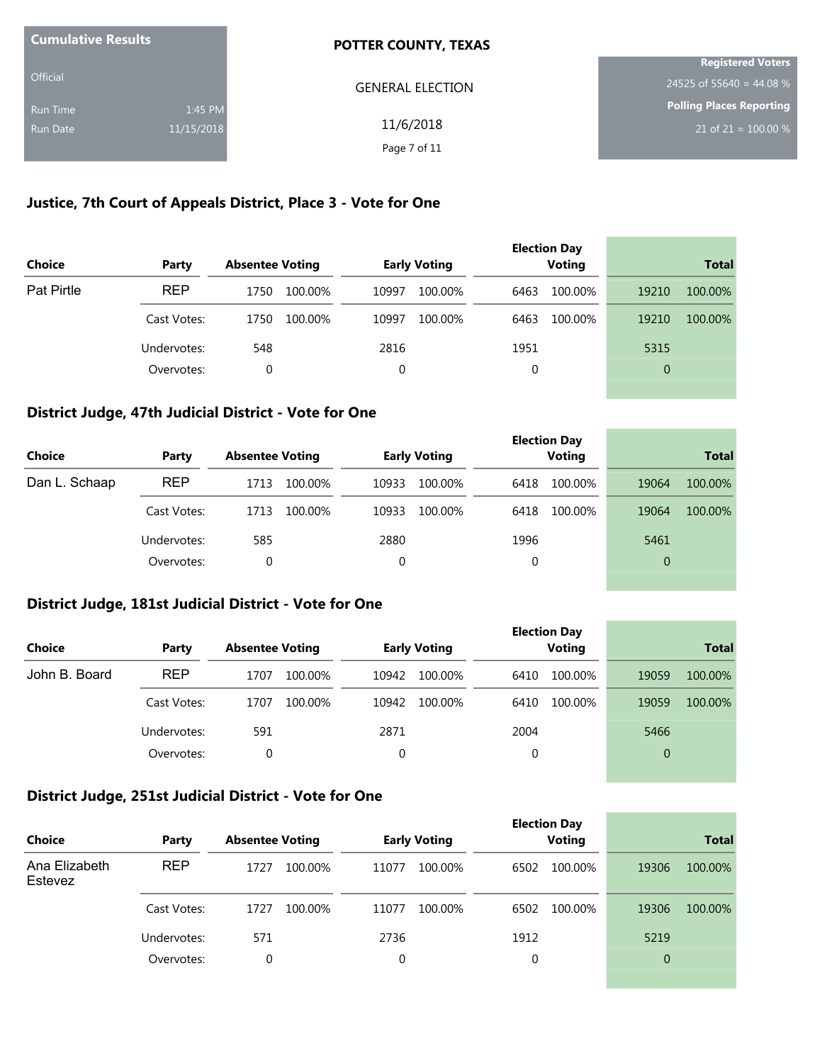| <b>Cumulative Results</b> |            | <b>POTTER COUNTY, TEXAS</b> |                          |
|---------------------------|------------|-----------------------------|--------------------------|
|                           |            |                             | <b>Registered Voters</b> |
| <b>Official</b>           |            | <b>GENERAL ELECTION</b>     | 24525 of 55640 = 44.08 % |
| Run Time                  | 1:45 PM    |                             | Polling Places Reporting |
| Run Date                  | 11/15/2018 | 11/6/2018                   | 21 of 21 = $100.00\%$    |
|                           |            | Page 7 of 11                |                          |

### **Justice, 7th Court of Appeals District, Place 3 - Vote for One**

| <b>Choice</b>     | Party       | <b>Absentee Voting</b> | <b>Early Voting</b> | <b>Election Day</b><br><b>Voting</b> | <b>Total</b>     |
|-------------------|-------------|------------------------|---------------------|--------------------------------------|------------------|
| <b>Pat Pirtle</b> | <b>REP</b>  | 1750<br>100.00%        | 10997<br>100.00%    | 100.00%<br>6463                      | 19210<br>100.00% |
|                   | Cast Votes: | 100.00%<br>1750        | 10997<br>100.00%    | 100.00%<br>6463                      | 19210<br>100.00% |
|                   | Undervotes: | 548                    | 2816                | 1951                                 | 5315             |
|                   | Overvotes:  | 0                      | 0                   | 0                                    | 0                |

#### **District Judge, 47th Judicial District - Vote for One**

| <b>Choice</b> | Party       | <b>Absentee Voting</b> |       | <b>Early Voting</b> |      | <b>Election Day</b><br><b>Voting</b> |                | <b>Total</b> |
|---------------|-------------|------------------------|-------|---------------------|------|--------------------------------------|----------------|--------------|
| Dan L. Schaap | <b>REP</b>  | 1713<br>100.00%        | 10933 | 100.00%             | 6418 | 100.00%                              | 19064          | 100.00%      |
|               | Cast Votes: | 100.00%<br>1713        | 10933 | 100.00%             | 6418 | 100.00%                              | 19064          | 100.00%      |
|               | Undervotes: | 585                    | 2880  |                     | 1996 |                                      | 5461           |              |
|               | Overvotes:  | 0                      | 0     |                     | 0    |                                      | $\overline{0}$ |              |

#### **District Judge, 181st Judicial District - Vote for One**

| Choice        | Party       | <b>Absentee Voting</b> | <b>Early Voting</b> | <b>Election Day</b><br><b>Voting</b> | <b>Total</b>     |
|---------------|-------------|------------------------|---------------------|--------------------------------------|------------------|
| John B. Board | <b>REP</b>  | 1707<br>100.00%        | 10942<br>100.00%    | 100.00%<br>6410                      | 19059<br>100.00% |
|               | Cast Votes: | 100.00%<br>1707        | 100.00%<br>10942    | 100.00%<br>6410                      | 19059<br>100.00% |
|               | Undervotes: | 591                    | 2871                | 2004                                 | 5466             |
|               | Overvotes:  | 0                      | 0                   | 0                                    | $\overline{0}$   |

the control of the control of the control of the control of the control of the control of

and the control of the control of the control of the control of the control of the control of the control of the

### **District Judge, 251st Judicial District - Vote for One**

| <b>Choice</b>            | Party       | <b>Absentee Voting</b> |         |       | <b>Early Voting</b> |      | <b>Election Day</b><br><b>Voting</b> |                | <b>Total</b> |
|--------------------------|-------------|------------------------|---------|-------|---------------------|------|--------------------------------------|----------------|--------------|
| Ana Elizabeth<br>Estevez | <b>REP</b>  | 1727                   | 100.00% | 11077 | 100.00%             | 6502 | 100.00%                              | 19306          | 100.00%      |
|                          | Cast Votes: | 1727                   | 100.00% | 11077 | 100.00%             | 6502 | 100.00%                              | 19306          | 100.00%      |
|                          | Undervotes: | 571                    |         | 2736  |                     | 1912 |                                      | 5219           |              |
|                          | Overvotes:  | 0                      |         | 0     |                     | 0    |                                      | $\overline{0}$ |              |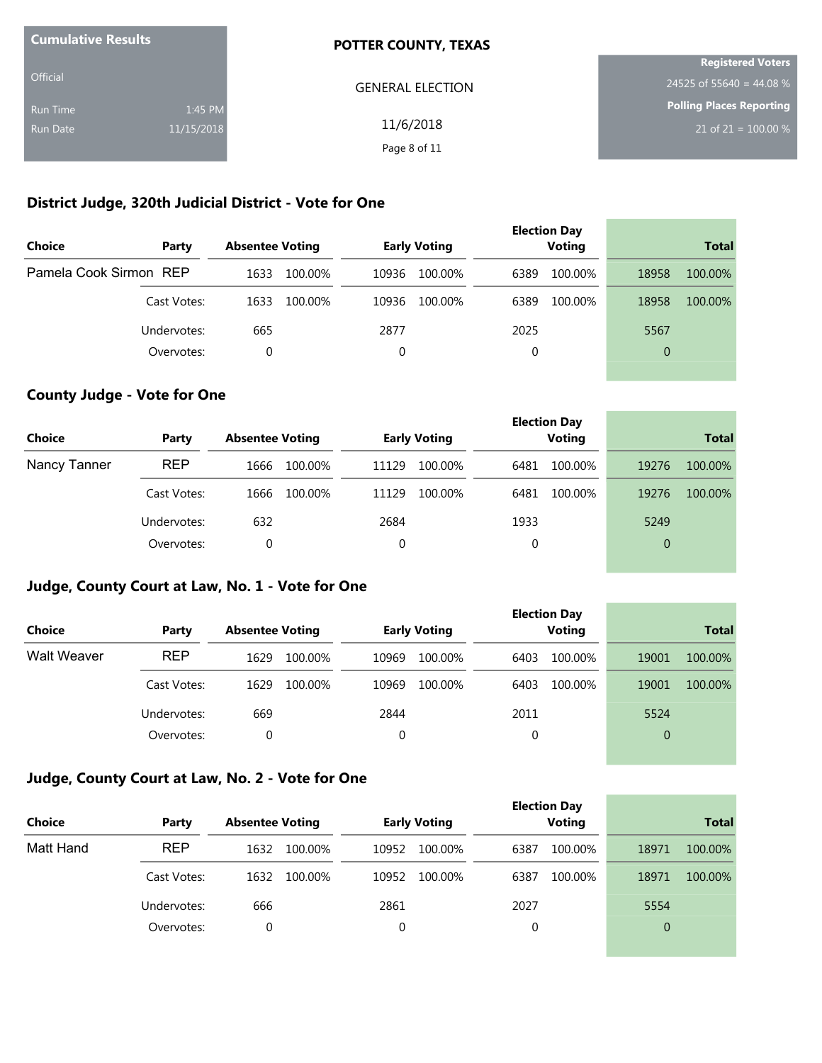| <b>Cumulative Results</b> |            | <b>POTTER COUNTY, TEXAS</b> |                          |
|---------------------------|------------|-----------------------------|--------------------------|
|                           |            |                             | <b>Registered Voters</b> |
| <b>Official</b>           |            | <b>GENERAL ELECTION</b>     | 24525 of 55640 = 44.08 % |
| Run Time                  | 1:45 PM    |                             | Polling Places Reporting |
| Run Date                  | 11/15/2018 | 11/6/2018                   | 21 of 21 = $100.00\%$    |
|                           |            | Page 8 of 11                |                          |

### **District Judge, 320th Judicial District - Vote for One**

| Choice                 | Party       | <b>Absentee Voting</b> |         |       | <b>Early Voting</b> |          | <b>Election Day</b><br><b>Voting</b> |                | <b>Total</b> |
|------------------------|-------------|------------------------|---------|-------|---------------------|----------|--------------------------------------|----------------|--------------|
| Pamela Cook Sirmon REP |             | 1633                   | 100.00% | 10936 | 100.00%             | 6389     | 100.00%                              | 18958          | 100.00%      |
|                        | Cast Votes: | 1633                   | 100.00% | 10936 | 100.00%             | 6389     | 100.00%                              | 18958          | 100.00%      |
|                        | Undervotes: | 665                    |         | 2877  |                     | 2025     |                                      | 5567           |              |
|                        | Overvotes:  | $\Omega$               |         | 0     |                     | $\Omega$ |                                      | $\overline{0}$ |              |

# **County Judge - Vote for One**

| <b>Choice</b> | Party       | <b>Absentee Voting</b> | <b>Early Voting</b> | <b>Election Day</b><br><b>Voting</b> | <b>Total</b>     |
|---------------|-------------|------------------------|---------------------|--------------------------------------|------------------|
| Nancy Tanner  | <b>REP</b>  | 100.00%<br>1666        | 11129<br>100.00%    | 100.00%<br>6481                      | 19276<br>100.00% |
|               | Cast Votes: | 100.00%<br>1666        | 100.00%<br>11129    | 100.00%<br>6481                      | 19276<br>100.00% |
|               | Undervotes: | 632                    | 2684                | 1933                                 | 5249             |
|               | Overvotes:  | 0                      | 0                   | 0                                    | $\overline{0}$   |
|               |             |                        |                     |                                      |                  |

### **Judge, County Court at Law, No. 1 - Vote for One**

|                    |             |                        |         |       |                     |      | <b>Election Day</b> |                |              |
|--------------------|-------------|------------------------|---------|-------|---------------------|------|---------------------|----------------|--------------|
| <b>Choice</b>      | Party       | <b>Absentee Voting</b> |         |       | <b>Early Voting</b> |      | <b>Voting</b>       |                | <b>Total</b> |
| <b>Walt Weaver</b> | <b>REP</b>  | 1629                   | 100.00% | 10969 | 100.00%             | 6403 | 100.00%             | 19001          | 100.00%      |
|                    | Cast Votes: | 1629                   | 100.00% | 10969 | 100.00%             | 6403 | 100.00%             | 19001          | 100.00%      |
|                    | Undervotes: | 669                    |         | 2844  |                     | 2011 |                     | 5524           |              |
|                    | Overvotes:  | 0                      |         | 0     |                     | 0    |                     | $\overline{0}$ |              |
|                    |             |                        |         |       |                     |      |                     |                |              |

\_\_\_\_\_\_\_

### **Judge, County Court at Law, No. 2 - Vote for One**

|               |             |                        |                     | <b>Election Day</b> |                  |
|---------------|-------------|------------------------|---------------------|---------------------|------------------|
| <b>Choice</b> | Party       | <b>Absentee Voting</b> | <b>Early Voting</b> | <b>Voting</b>       | <b>Total</b>     |
| Matt Hand     | <b>REP</b>  | 1632<br>100.00%        | 10952<br>100.00%    | 6387<br>100.00%     | 18971<br>100.00% |
|               | Cast Votes: | 100.00%<br>1632        | 10952<br>100.00%    | 100.00%<br>6387     | 100.00%<br>18971 |
|               | Undervotes: | 666                    | 2861                | 2027                | 5554             |
|               | Overvotes:  | $\Omega$               |                     | 0                   | 0                |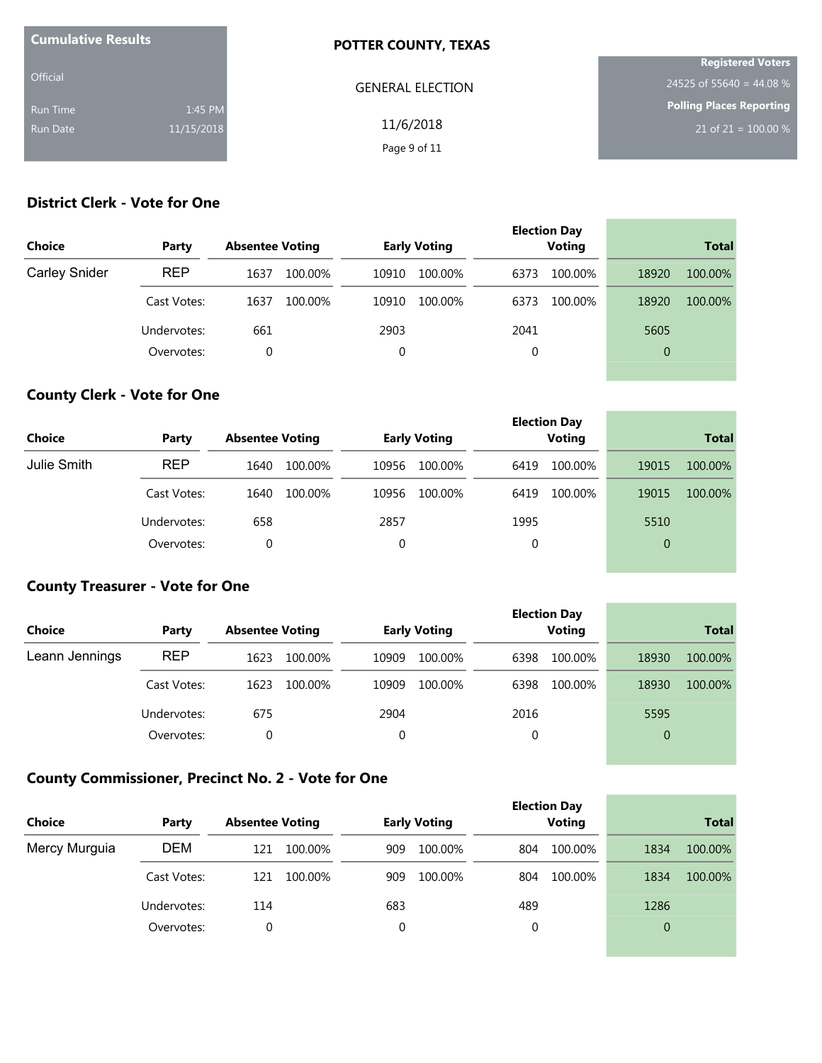| <b>Cumulative Results</b> |            | <b>POTTER COUNTY, TEXAS</b> |                                 |
|---------------------------|------------|-----------------------------|---------------------------------|
|                           |            |                             | <b>Registered Voters</b>        |
| <b>Official</b>           |            | <b>GENERAL ELECTION</b>     | 24525 of 55640 = 44.08 %        |
| Run Time                  | 1:45 PM    |                             | <b>Polling Places Reporting</b> |
| Run Date                  | 11/15/2018 | 11/6/2018                   | 21 of 21 = $100.00\%$           |
|                           |            | Page 9 of 11                |                                 |

# **District Clerk - Vote for One**

| <b>Choice</b>        | Party       | <b>Absentee Voting</b> | <b>Early Voting</b> | <b>Election Day</b><br><b>Voting</b> | <b>Total</b>     |
|----------------------|-------------|------------------------|---------------------|--------------------------------------|------------------|
| <b>Carley Snider</b> | <b>REP</b>  | 1637<br>100.00%        | 10910<br>100.00%    | 6373<br>100.00%                      | 18920<br>100.00% |
|                      | Cast Votes: | 1637<br>100.00%        | 100.00%<br>10910    | 6373<br>100.00%                      | 18920<br>100.00% |
|                      | Undervotes: | 661                    | 2903                | 2041                                 | 5605             |
|                      | Overvotes:  | 0                      | 0                   | 0                                    | $\overline{0}$   |

# **County Clerk - Vote for One**

| <b>Choice</b> | Party       | <b>Absentee Voting</b> | <b>Early Voting</b> | <b>Election Day</b><br><b>Voting</b> | <b>Total</b>     |
|---------------|-------------|------------------------|---------------------|--------------------------------------|------------------|
| Julie Smith   | <b>REP</b>  | 100.00%<br>1640        | 100.00%<br>10956    | 100.00%<br>6419                      | 100.00%<br>19015 |
|               | Cast Votes: | 100.00%<br>1640        | 10956<br>100.00%    | 100.00%<br>6419                      | 100.00%<br>19015 |
|               | Undervotes: | 658                    | 2857                | 1995                                 | 5510             |
|               | Overvotes:  | 0                      |                     | 0                                    | 0                |

### **County Treasurer - Vote for One**

| <b>Choice</b>  | Party       | <b>Absentee Voting</b> |         |             | <b>Early Voting</b> |      | <b>Election Day</b><br><b>Voting</b> |                | <b>Total</b> |
|----------------|-------------|------------------------|---------|-------------|---------------------|------|--------------------------------------|----------------|--------------|
| Leann Jennings | <b>REP</b>  | 1623                   | 100.00% | 10909       | 100.00%             | 6398 | 100.00%                              | 18930          | 100.00%      |
|                | Cast Votes: | 1623                   | 100.00% | 10909       | 100.00%             | 6398 | 100.00%                              | 18930          | 100.00%      |
|                | Undervotes: | 675                    |         | 2904        |                     | 2016 |                                      | 5595           |              |
|                | Overvotes:  | 0                      |         | $\mathbf 0$ |                     | 0    |                                      | $\overline{0}$ |              |
|                |             |                        |         |             |                     |      |                                      |                |              |

<u> Linda a Carl an t-An an t-An an t-An an t-</u>

\_\_\_\_\_\_\_\_

 $\overline{\phantom{a}}$ 

# **County Commissioner, Precinct No. 2 - Vote for One**

| <b>Choice</b> | Party       | <b>Absentee Voting</b> | <b>Early Voting</b> | <b>Election Day</b><br><b>Voting</b> | <b>Total</b>    |
|---------------|-------------|------------------------|---------------------|--------------------------------------|-----------------|
| Mercy Murguia | <b>DEM</b>  | 121<br>100.00%         | 909<br>100.00%      | 100.00%<br>804                       | 100.00%<br>1834 |
|               | Cast Votes: | 100.00%<br>121         | 100.00%<br>909      | 100.00%<br>804                       | 100.00%<br>1834 |
|               | Undervotes: | 114                    | 683                 | 489                                  | 1286            |
|               | Overvotes:  | 0                      | 0                   | 0                                    | $\overline{0}$  |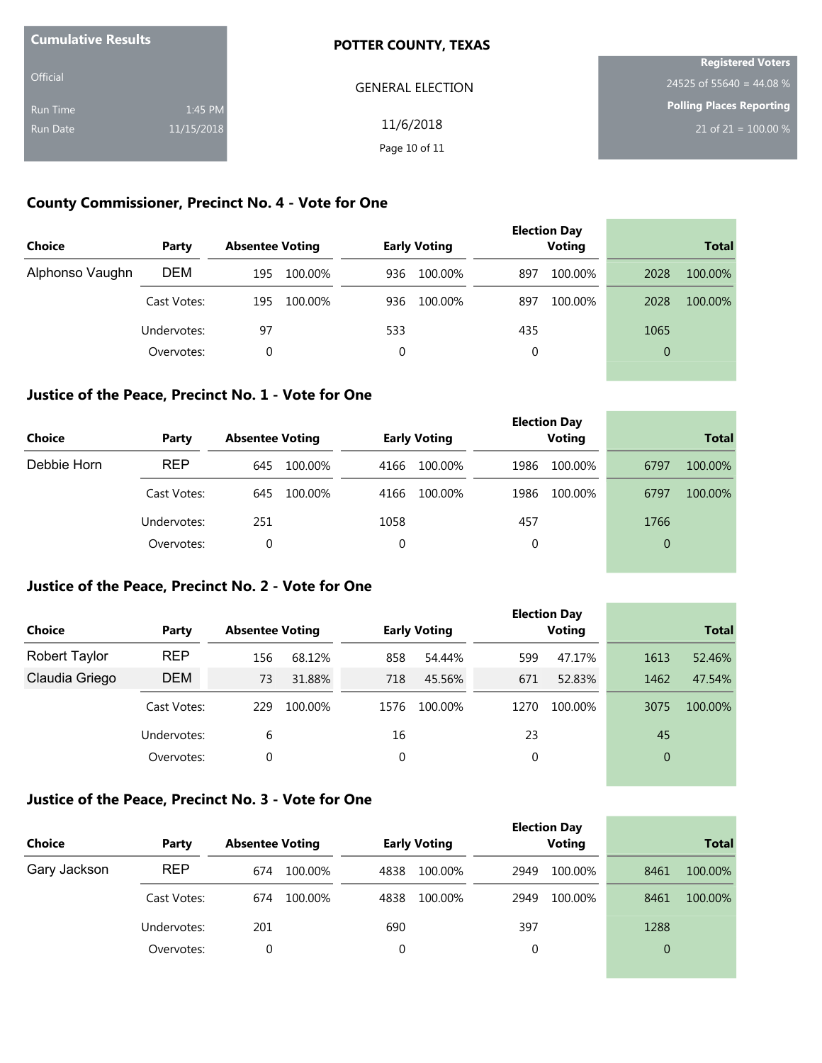| <b>Cumulative Results</b> |            | POTTER COUNTY, TEXAS    |                                 |
|---------------------------|------------|-------------------------|---------------------------------|
|                           |            |                         | <b>Registered Voters</b>        |
| <b>Official</b>           |            | <b>GENERAL ELECTION</b> | 24525 of 55640 = 44.08 %        |
| <b>Run Time</b>           | 1:45 PM    |                         | <b>Polling Places Reporting</b> |
| Run Date                  | 11/15/2018 | 11/6/2018               | 21 of 21 = $100.00\%$           |
|                           |            | Page 10 of 11           |                                 |

### **County Commissioner, Precinct No. 4 - Vote for One**

| Choice          | Party       | <b>Absentee Voting</b> | <b>Early Voting</b> | <b>Election Day</b><br><b>Voting</b> | <b>Total</b>    |
|-----------------|-------------|------------------------|---------------------|--------------------------------------|-----------------|
| Alphonso Vaughn | <b>DEM</b>  | 100.00%<br>195         | 100.00%<br>936      | 100.00%<br>897                       | 100.00%<br>2028 |
|                 | Cast Votes: | 100.00%<br>195         | 100.00%<br>936      | 100.00%<br>897                       | 2028<br>100.00% |
|                 | Undervotes: | 97                     | 533                 | 435                                  | 1065            |
|                 | Overvotes:  | 0                      | 0                   | 0                                    | 0               |

#### **Justice of the Peace, Precinct No. 1 - Vote for One**

| <b>Choice</b> | Party       | <b>Absentee Voting</b> | <b>Early Voting</b> | <b>Election Day</b><br><b>Voting</b> | <b>Total</b>    |
|---------------|-------------|------------------------|---------------------|--------------------------------------|-----------------|
| Debbie Horn   | <b>REP</b>  | 100.00%<br>645         | 100.00%<br>4166     | 100.00%<br>1986                      | 100.00%<br>6797 |
|               | Cast Votes: | 100.00%<br>645         | 100.00%<br>4166     | 100.00%<br>1986                      | 6797<br>100.00% |
|               | Undervotes: | 251                    | 1058                | 457                                  | 1766            |
|               | Overvotes:  |                        | 0                   | 0                                    | 0               |

and the control of the control of the control of the control of the control of the control of the control of the

#### **Justice of the Peace, Precinct No. 2 - Vote for One**

|                |             |                        |         |      |                     |      | <b>Election Day</b> |                |              |
|----------------|-------------|------------------------|---------|------|---------------------|------|---------------------|----------------|--------------|
| <b>Choice</b>  | Party       | <b>Absentee Voting</b> |         |      | <b>Early Voting</b> |      | Voting              |                | <b>Total</b> |
| Robert Taylor  | <b>REP</b>  | 156                    | 68.12%  | 858  | 54.44%              | 599  | 47.17%              | 1613           | 52.46%       |
| Claudia Griego | <b>DEM</b>  | 73                     | 31.88%  | 718  | 45.56%              | 671  | 52.83%              | 1462           | 47.54%       |
|                | Cast Votes: | 229                    | 100.00% | 1576 | 100.00%             | 1270 | 100.00%             | 3075           | 100.00%      |
|                | Undervotes: | 6                      |         | 16   |                     | 23   |                     | 45             |              |
|                | Overvotes:  | 0                      |         | 0    |                     | 0    |                     | $\overline{0}$ |              |
|                |             |                        |         |      |                     |      |                     |                |              |

### **Justice of the Peace, Precinct No. 3 - Vote for One**

| Choice       | Party       | <b>Absentee Voting</b> | <b>Early Voting</b> | <b>Election Day</b><br><b>Voting</b> | <b>Total</b>    |
|--------------|-------------|------------------------|---------------------|--------------------------------------|-----------------|
| Gary Jackson | <b>REP</b>  | 674<br>100.00%         | 100.00%<br>4838     | 100.00%<br>2949                      | 100.00%<br>8461 |
|              | Cast Votes: | 100.00%<br>674         | 100.00%<br>4838     | 100.00%<br>2949                      | 8461<br>100.00% |
|              | Undervotes: | 201                    | 690                 | 397                                  | 1288            |
|              | Overvotes:  | 0                      | 0                   | 0                                    | $\Omega$        |